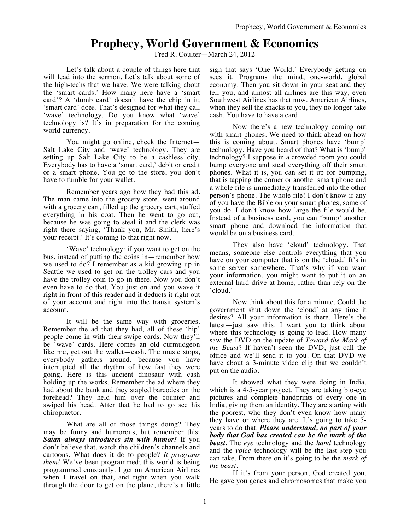## **Prophecy, World Government & Economics**

Fred R. Coulter—March 24, 2012

Let's talk about a couple of things here that will lead into the sermon. Let's talk about some of the high-techs that we have. We were talking about the 'smart cards.' How many here have a 'smart card'? A 'dumb card' doesn't have the chip in it; 'smart card' does. That's designed for what they call 'wave' technology. Do you know what 'wave' technology is? It's in preparation for the coming world currency.

You might go online, check the Internet— Salt Lake City and 'wave' technology. They are setting up Salt Lake City to be a cashless city. Everybody has to have a 'smart card,' debit or credit or a smart phone. You go to the store, you don't have to fumble for your wallet.

Remember years ago how they had this ad. The man came into the grocery store, went around with a grocery cart, filled up the grocery cart, stuffed everything in his coat. Then he went to go out, because he was going to steal it and the clerk was right there saying, 'Thank you, Mr. Smith, here's your receipt.' It's coming to that right now.

'Wave' technology: if you want to get on the bus, instead of putting the coins in—remember how we used to do? I remember as a kid growing up in Seattle we used to get on the trolley cars and you have the trolley coin to go in there. Now you don't even have to do that. You just on and you wave it right in front of this reader and it deducts it right out of your account and right into the transit system's account.

It will be the same way with groceries. Remember the ad that they had, all of these 'hip' people come in with their swipe cards. Now they'll be 'wave' cards. Here comes an old curmudgeon like me, get out the wallet—cash. The music stops, everybody gathers around, because you have interrupted all the rhythm of how fast they were going. Here is this ancient dinosaur with cash holding up the works. Remember the ad where they had about the bank and they stapled barcodes on the forehead? They held him over the counter and swiped his head. After that he had to go see his chiropractor.

What are all of those things doing? They may be funny and humorous, but remember this: *Satan always introduces sin with humor!* If you don't believe that, watch the children's channels and cartoons. What does it do to people? *It programs them!* We've been programmed; this world is being programmed constantly. I get on American Airlines when I travel on that, and right when you walk through the door to get on the plane, there's a little

sign that says 'One World.' Everybody getting on sees it. Programs the mind, one-world, global economy. Then you sit down in your seat and they tell you, and almost all airlines are this way, even Southwest Airlines has that now. American Airlines, when they sell the snacks to you, they no longer take cash. You have to have a card.

Now there's a new technology coming out with smart phones. We need to think ahead on how this is coming about. Smart phones have 'bump' technology. Have you heard of that? What is 'bump' technology? I suppose in a crowded room you could bump everyone and steal everything off their smart phones. What it is, you can set it up for bumping, that is tapping the corner or another smart phone and a whole file is immediately transferred into the other person's phone. The whole file! I don't know if any of you have the Bible on your smart phones, some of you do. I don't know how large the file would be. Instead of a business card, you can 'bump' another smart phone and download the information that would be on a business card.

They also have 'cloud' technology. That means, someone else controls everything that you have on your computer that is on the 'cloud.' It's in some server somewhere. That's why if you want your information, you might want to put it on an external hard drive at home, rather than rely on the 'cloud.'

Now think about this for a minute. Could the government shut down the 'cloud' at any time it desires? All your information is there. Here's the latest—just saw this. I want you to think about where this technology is going to lead. How many saw the DVD on the update of *Toward the Mark of the Beast*? If haven't seen the DVD, just call the office and we'll send it to you. On that DVD we have about a 3-minute video clip that we couldn't put on the audio.

It showed what they were doing in India, which is a 4-5-year project. They are taking bio-eye pictures and complete handprints of every one in India, giving them an identity. They are starting with the poorest, who they don't even know how many they have or where they are. It's going to take 5 years to do that. *Please understand, no part of your body that God has created can be the mark of the beast.* The *eye* technology and the *hand* technology and the *voice* technology will be the last step you can take. From there on it's going to be the *mark of the beast.*

If it's from your person, God created you. He gave you genes and chromosomes that make you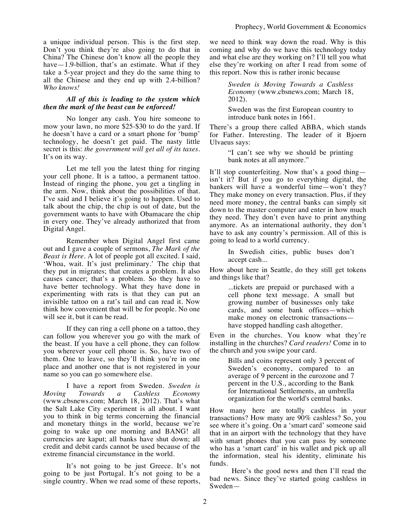a unique individual person. This is the first step. Don't you think they're also going to do that in China? The Chinese don't know all the people they have—1.9-billion, that's an estimate. What if they take a 5-year project and they do the same thing to all the Chinese and they end up with 2.4-billion? *Who knows!*

## *All of this is leading to the system which then the mark of the beast can be enforced!*

No longer any cash. You hire someone to mow your lawn, no more \$25-\$30 to do the yard. If he doesn't have a card or a smart phone for 'bump' technology, he doesn't get paid. The nasty little secret is this: *the government will get all of its taxes.* It's on its way.

Let me tell you the latest thing for ringing your cell phone. It is a tattoo, a permanent tattoo. Instead of ringing the phone, you get a tingling in the arm. Now, think about the possibilities of that. I've said and I believe it's going to happen. Used to talk about the chip, the chip is out of date, but the government wants to have with Obamacare the chip in every one. They've already authorized that from Digital Angel.

Remember when Digital Angel first came out and I gave a couple of sermons, *The Mark of the Beast is Here*. A lot of people got all excited. I said, 'Whoa, wait. It's just preliminary.' The chip that they put in migrates; that creates a problem. It also causes cancer; that's a problem. So they have to have better technology. What they have done in experimenting with rats is that they can put an invisible tattoo on a rat's tail and can read it. Now think how convenient that will be for people. No one will see it, but it can be read.

If they can ring a cell phone on a tattoo, they can follow you wherever you go with the mark of the beast. If you have a cell phone, they can follow you wherever your cell phone is. So, have two of them. One to leave, so they'll think you're in one place and another one that is not registered in your name so you can go somewhere else.

I have a report from Sweden. *Sweden is Moving Towards a Cashless Economy* (www.cbsnews.com; March 18, 2012). That's what the Salt Lake City experiment is all about. I want you to think in big terms concerning the financial and monetary things in the world, because we're going to wake up one morning and BANG! all currencies are kaput; all banks have shut down; all credit and debit cards cannot be used because of the extreme financial circumstance in the world.

It's not going to be just Greece. It's not going to be just Portugal. It's not going to be a single country. When we read some of these reports, we need to think way down the road. Why is this coming and why do we have this technology today and what else are they working on? I'll tell you what else they're working on after I read from some of this report. Now this is rather ironic because

> *Sweden is Moving Towards a Cashless Economy* (www.cbsnews.com; March 18, 2012).

> Sweden was the first European country to introduce bank notes in 1661.

There's a group there called ABBA, which stands for Father. Interesting. The leader of it Bjoern Ulvaeus says:

> "I can't see why we should be printing bank notes at all anymore."

It'll stop counterfeiting. Now that's a good thing isn't it? But if you go to everything digital, the bankers will have a wonderful time—won't they? They make money on every transaction. Plus, if they need more money, the central banks can simply sit down to the master computer and enter in how much they need. They don't even have to print anything anymore. As an international authority, they don't have to ask any country's permission. All of this is going to lead to a world currency.

In Swedish cities, public buses don't accept cash...

How about here in Seattle, do they still get tokens and things like that?

> ...tickets are prepaid or purchased with a cell phone text message. A small but growing number of businesses only take cards, and some bank offices—which make money on electronic transactions have stopped handling cash altogether.

Even in the churches. You know what they're installing in the churches? *Card readers!* Come in to the church and you swipe your card.

> Bills and coins represent only 3 percent of Sweden's economy, compared to an average of 9 percent in the eurozone and 7 percent in the U.S., according to the Bank for International Settlements, an umbrella organization for the world's central banks.

How many here are totally cashless in your transactions? How many are 90% cashless? So, you see where it's going. On a 'smart card' someone said that in an airport with the technology that they have with smart phones that you can pass by someone who has a 'smart card' in his wallet and pick up all the information, steal his identity, eliminate his funds.

Here's the good news and then I'll read the bad news. Since they've started going cashless in Sweden—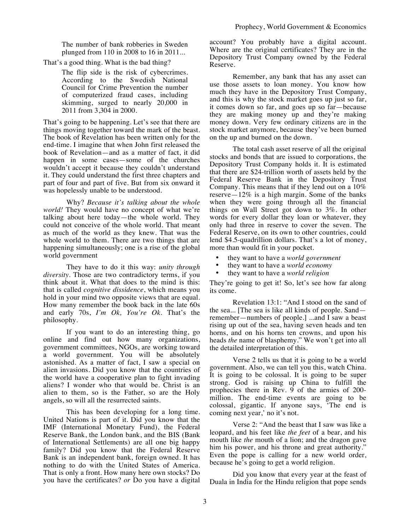The number of bank robberies in Sweden plunged from 110 in 2008 to 16 in 2011...

That's a good thing. What is the bad thing?

The flip side is the risk of cybercrimes. According to the Swedish National Council for Crime Prevention the number of computerized fraud cases, including skimming, surged to nearly 20,000 in 2011 from 3,304 in 2000.

That's going to be happening. Let's see that there are things moving together toward the mark of the beast. The book of Revelation has been written only for the end-time. I imagine that when John first released the book of Revelation—and as a matter of fact, it did happen in some cases—some of the churches wouldn't accept it because they couldn't understand it. They could understand the first three chapters and part of four and part of five. But from six onward it was hopelessly unable to be understood.

Why? *Because it's talking about the whole world!* They would have no concept of what we're talking about here today—the whole world. They could not conceive of the whole world. That meant as much of the world as they knew. That was the whole world to them. There are two things that are happening simultaneously; one is a rise of the global world government

They have to do it this way: *unity through diversity*. Those are two contradictory terms, if you think about it. What that does to the mind is this: that is called *cognitive dissidence*, which means you hold in your mind two opposite views that are equal. How many remember the book back in the late 60s and early 70s, *I'm Ok, You're Ok*. That's the philosophy.

If you want to do an interesting thing, go online and find out how many organizations, government committees, NGOs, are working toward a world government. You will be absolutely astonished. As a matter of fact, I saw a special on alien invasions. Did you know that the countries of the world have a cooperative plan to fight invading aliens? I wonder who that would be. Christ is an alien to them, so is the Father, so are the Holy angels, so will all the resurrected saints.

This has been developing for a long time. United Nations is part of it. Did you know that the IMF (International Monetary Fund), the Federal Reserve Bank, the London bank, and the BIS (Bank of International Settlements) are all one big happy family? Did you know that the Federal Reserve Bank is an independent bank, foreign owned. It has nothing to do with the United States of America. That is only a front. How many here own stocks? Do you have the certificates? *or* Do you have a digital account? You probably have a digital account. Where are the original certificates? They are in the Depository Trust Company owned by the Federal Reserve.

Remember, any bank that has any asset can use those assets to loan money. You know how much they have in the Depository Trust Company, and this is why the stock market goes up just so far, it comes down so far, and goes up so far—because they are making money up and they're making money down. Very few ordinary citizens are in the stock market anymore, because they've been burned on the up and burned on the down.

The total cash asset reserve of all the original stocks and bonds that are issued to corporations, the Depository Trust Company holds it. It is estimated that there are \$24-trillion worth of assets held by the Federal Reserve Bank in the Depository Trust Company. This means that if they lend out on a 10% reserve—12% is a high margin. Some of the banks when they were going through all the financial things on Wall Street got down to 3%. In other words for every dollar they loan or whatever, they only had three in reserve to cover the seven. The Federal Reserve, on its own to other countries, could lend \$4.5-quadrillion dollars. That's a lot of money, more than would fit in your pocket.

- they want to have a *world government*
- they want to have a *world economy*
- they want to have a *world religion*

They're going to get it! So, let's see how far along its come.

Revelation 13:1: "And I stood on the sand of the sea... [The sea is like all kinds of people. Sand remember—numbers of people.] ...and I saw a beast rising up out of the sea, having seven heads and ten horns, and on his horns ten crowns, and upon his heads *the* name of blasphemy." We won't get into all the detailed interpretation of this.

Verse 2 tells us that it is going to be a world government. Also, we can tell you this, watch China. It is going to be colossal. It is going to be super strong. God is raising up China to fulfill the prophecies there in Rev. 9 of the armies of 200 million. The end-time events are going to be colossal, gigantic. If anyone says, 'The end is coming next year,' no it's not.

Verse 2: "And the beast that I saw was like a leopard, and his feet like *the feet* of a bear, and his mouth like *the* mouth of a lion; and the dragon gave him his power, and his throne and great authority." Even the pope is calling for a new world order, because he's going to get a world religion.

Did you know that every year at the feast of Duala in India for the Hindu religion that pope sends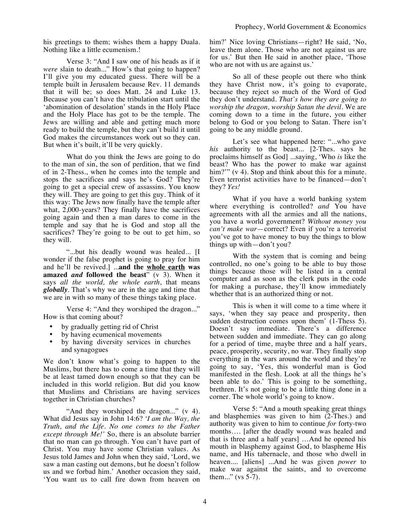his greetings to them; wishes them a happy Duala. Nothing like a little ecumenism.!

Verse 3: "And I saw one of his heads as if it *were* slain to death..." How's that going to happen? I'll give you my educated guess. There will be a temple built in Jerusalem because Rev. 11 demands that it will be; so does Matt. 24 and Luke 13. Because you can't have the tribulation start until the 'abomination of desolation' stands in the Holy Place and the Holy Place has got to be the temple. The Jews are willing and able and getting much more ready to build the temple, but they can't build it until God makes the circumstances work out so they can. But when it's built, it'll be very quickly.

What do you think the Jews are going to do to the man of sin, the son of perdition, that we find of in 2-Thess., when he comes into the temple and stops the sacrifices and says he's God? They're going to get a special crew of assassins. You know they will. They are going to get this guy. Think of it this way: The Jews now finally have the temple after what, 2,000-years? They finally have the sacrifices going again and then a man dares to come in the temple and say that he is God and stop all the sacrifices? They're going to be out to get him, so they will.

"...but his deadly wound was healed... [I wonder if the false prophet is going to pray for him and he'll be revived.] ...**and the whole earth was amazed** *and* **followed the beast**" (v 3). When it says *all the world, the whole earth*, that means *globally*. That's why we are in the age and time that we are in with so many of these things taking place.

Verse 4: "And they worshiped the dragon..." How is that coming about?

- by gradually getting rid of Christ
- by having ecumenical movements
- by having diversity services in churches and synagogues

We don't know what's going to happen to the Muslims, but there has to come a time that they will be at least tamed down enough so that they can be included in this world religion. But did you know that Muslims and Christians are having services together in Christian churches?

"And they worshiped the dragon..." (v 4). What did Jesus say in John 14:6? *'I am the Way, the Truth, and the Life. No one comes to the Father except through Me!'* So, there is an absolute barrier that no man can go through. You can't have part of Christ. You may have some Christian values. As Jesus told James and John when they said, 'Lord, we saw a man casting out demons, but he doesn't follow us and we forbad him.' Another occasion they said, 'You want us to call fire down from heaven on him?' Nice loving Christians—right? He said, 'No, leave them alone. Those who are not against us are for us.' But then He said in another place, 'Those who are not with us are against us.'

So all of these people out there who think they have Christ now, it's going to evaporate, because they reject so much of the Word of God they don't understand. *That's how they are going to worship the dragon, worship Satan the devil*. We are coming down to a time in the future, you either belong to God or you belong to Satan. There isn't going to be any middle ground.

Let's see what happened here: "...who gave *his* authority to the beast... [2-Thes. says he proclaims himself as God] ...saying, 'Who *is* like the beast? Who has the power to make war against him?"" (v 4). Stop and think about this for a minute. Even terrorist activities have to be financed—don't they? *Yes!*

What if you have a world banking system where everything is controlled? *and* You have agreements with all the armies and all the nations, you have a world government? *Without money you can't make war*—correct? Even if you're a terrorist you've got to have money to buy the things to blow things up with—don't you?

With the system that is coming and being controlled, no one's going to be able to buy those things because those will be listed in a central computer and as soon as the clerk puts in the code for making a purchase, they'll know immediately whether that is an authorized thing or not.

This is when it will come to a time where it says, 'when they say peace and prosperity, then sudden destruction comes upon them' (1-Thess 5). Doesn't say immediate. There's a difference between sudden and immediate. They can go along for a period of time, maybe three and a half years, peace, prosperity, security, no war. They finally stop everything in the wars around the world and they're going to say, 'Yes, this wonderful man is God manifested in the flesh. Look at all the things he's been able to do.' This is going to be something, brethren. It's not going to be a little thing done in a corner. The whole world's going to know.

Verse 5: "And a mouth speaking great things and blasphemies was given to him (2-Thes.) and authority was given to him to continue *for* forty-two months…. [after the deadly wound was healed and that is three and a half years] …And he opened his mouth in blasphemy against God, to blaspheme His name, and His tabernacle, and those who dwell in heaven.... [aliens] ...And he was given *power* to make war against the saints, and to overcome them..." (vs  $5-7$ ).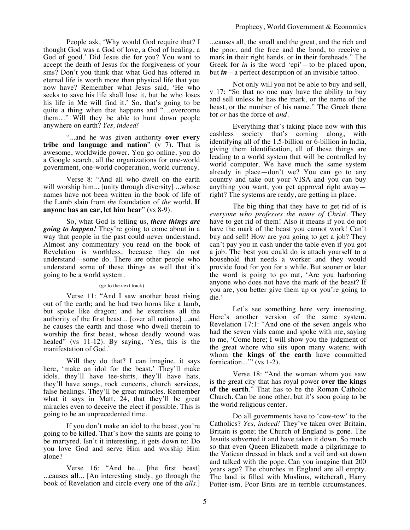People ask, 'Why would God require that? I thought God was a God of love, a God of healing, a God of good.' Did Jesus die for you? You want to accept the death of Jesus for the forgiveness of your sins? Don't you think that what God has offered in eternal life is worth more than physical life that you now have? Remember what Jesus said, 'He who seeks to save his life shall lose it, but he who loses his life in Me will find it.' So, that's going to be quite a thing when that happens and "…overcome them…" Will they be able to hunt down people anywhere on earth? *Yes, indeed!*

"...and he was given authority **over every tribe and language and nation**" (v 7). That is awesome, worldwide power. You go online, you do a Google search, all the organizations for one-world government, one-world cooperation, world currency.

Verse 8: "And all who dwell on the earth will worship him... [unity through diversity] ...whose names have not been written in the book of life of the Lamb slain from *the* foundation of *the* world. **If anyone has an ear, let him hear**" (vs 8-9).

So, what God is telling us, *these things are going to happen!* They're going to come about in a way that people in the past could never understand. Almost any commentary you read on the book of Revelation is worthless, because they do not understand—some do. There are other people who understand some of these things as well that it's going to be a world system.

## (go to the next track)

Verse 11: "And I saw another beast rising out of the earth; and he had two horns like a lamb, but spoke like dragon; and he exercises all the authority of the first beast... [over all nations] ...and he causes the earth and those who dwell therein to worship the first beast, whose deadly wound was healed" (vs  $11-12$ ). By saying, 'Yes, this is the manifestation of God.'

Will they do that? I can imagine, it says here, 'make an idol for the beast.' They'll make idols, they'll have tee-shirts, they'll have hats, they'll have songs, rock concerts, church services, false healings. They'll be great miracles. Remember what it says in Matt. 24, that they'll be great miracles even to deceive the elect if possible. This is going to be an unprecedented time.

If you don't make an idol to the beast, you're going to be killed. That's how the saints are going to be martyred. Isn't it interesting, it gets down to: Do you love God and serve Him and worship Him alone?

Verse 16: "And he... [the first beast] ...causes **all**... [An interesting study, go through the book of Revelation and circle every one of the *alls*.]

...causes all, the small and the great, and the rich and the poor, and the free and the bond, to receive a mark **in** their right hands, or **in** their foreheads." The Greek for *in* is the word 'epi'—to be placed upon, but *in*—a perfect description of an invisible tattoo.

Not only will you not be able to buy and sell, v 17: "So that no one may have the ability to buy and sell unless he has the mark, or the name of the beast, or the number of his name." The Greek there for *or* has the force of *and*.

Everything that's taking place now with this cashless society that's coming along, with identifying all of the 1.5-billion or 6-billion in India, giving them identification, all of these things are leading to a world system that will be controlled by world computer. We have much the same system already in place—don't we? You can go to any country and take out your VISA and you can buy anything you want, you get approval right away right? The systems are ready, are getting in place.

The big thing that they have to get rid of is *everyone who professes the name of Christ*. They have to get rid of them! Also it means if you do not have the mark of the beast you cannot work! Can't buy and sell! How are you going to get a job? They can't pay you in cash under the table even if you got a job. The best you could do is attach yourself to a household that needs a worker and they would provide food for you for a while. But sooner or later the word is going to go out, 'Are you harboring anyone who does not have the mark of the beast? If you are, you better give them up or you're going to die.'

Let's see something here very interesting. Here's another version of the same system. Revelation 17:1: "And one of the seven angels who had the seven vials came and spoke with me, saying to me, 'Come here; I will show you the judgment of the great whore who sits upon many waters; with whom **the kings of the earth** have committed fornication..." (vs 1-2).

Verse 18: "And the woman whom you saw is the great city that has royal power **over the kings of the earth**." That has to be the Roman Catholic Church. Can be none other, but it's soon going to be the world religious center.

Do all governments have to 'cow-tow' to the Catholics? *Yes, indeed!* They've taken over Britain. Britain is gone; the Church of England is gone. The Jesuits subverted it and have taken it down. So much so that even Queen Elizabeth made a pilgrimage to the Vatican dressed in black and a veil and sat down and talked with the pope. Can you imagine that 200 years ago? The churches in England are all empty. The land is filled with Muslims, witchcraft, Harry Potter-ism. Poor Brits are in terrible circumstances.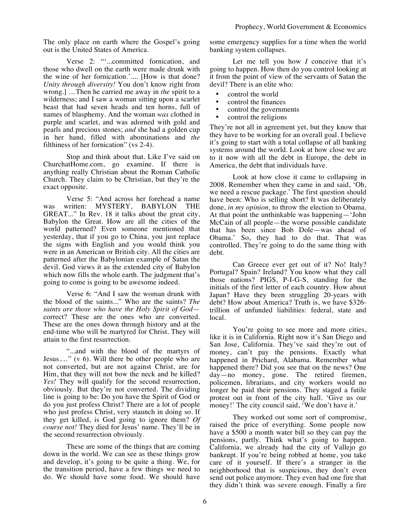The only place on earth where the Gospel's going out is the United States of America.

Verse 2: "'...committed fornication, and those who dwell on the earth were made drunk with the wine of her fornication.'.... [How is that done? *Unity through diversity!* You don't know right from wrong.] …Then he carried me away in *the* spirit to a wilderness; and I saw a woman sitting upon a scarlet beast that had seven heads and ten horns, full of names of blasphemy. And the woman *was* clothed in purple and scarlet, and was adorned with gold and pearls and precious stones; *and* she had a golden cup in her hand, filled with abominations and *the*  filthiness of her fornication" (vs 2-4).

Stop and think about that. Like I've said on ChurchatHome.com, go examine. If there is anything really Christian about the Roman Catholic Church. They claim to be Christian, but they're the exact opposite.

Verse 5: "And across her forehead a name was written: MYSTERY, BABYLON THE GREAT..." In Rev. 18 it talks about the great city, Babylon the Great. How are all the cities of the world patterned? Even someone mentioned that yesterday, that if you go to China, you just replace the signs with English and you would think you were in an American or British city. All the cities are patterned after the Babylonian example of Satan the devil. God views it as the extended city of Babylon which now fills the whole earth. The judgment that's going to come is going to be awesome indeed.

Verse 6: "And I saw the woman drunk with the blood of the saints..." Who are the saints? *The saints are those who have the Holy Spirit of God* correct? These are the ones who are converted. These are the ones down through history and at the end-time who will be martyred for Christ. They will attain to the first resurrection.

"...and with the blood of the martyrs of Jesus.…" (v 6). Will there be other people who are not converted, but are not against Christ, are for Him, that they will not bow the neck and be killed? *Yes!* They will qualify for the second resurrection, obviously. But they're not converted. The dividing line is going to be: Do you have the Spirit of God or do you just profess Christ? There are a lot of people who just profess Christ, very staunch in doing so. If they get killed, is God going to ignore them? *Of course not!* They died for Jesus' name. They'll be in the second resurrection obviously.

These are some of the things that are coming down in the world. We can see as these things grow and develop, it's going to be quite a thing. We, for the transition period, have a few things we need to do. We should have some food. We should have some emergency supplies for a time when the world banking system collapses.

Let me tell you how *I* conceive that it's going to happen. How then do you control looking at it from the point of view of the servants of Satan the devil? There is an elite who:

- control the world
- control the finances<br>• control the governm
- control the governments<br>• control the religions
- control the religions

They're not all in agreement yet, but they know that they have to be working for an overall goal. I believe it's going to start with a total collapse of all banking systems around the world. Look at how close we are to it now with all the debt in Europe, the debt in America, the debt that individuals have.

Look at how close it came to collapsing in 2008. Remember when they came in and said, 'Oh, we need a rescue package.' The first question should have been: Who is selling short? It was deliberately done, *in my opinion,* to throw the election to Obama. At that point the unthinkable was happening—'John McCain of all people—the worse possible candidate that has been since Bob Dole—was ahead of Obama.' So, they had to do that. That was controlled. They're going to do the same thing with debt.

Can Greece ever get out of it? No! Italy? Portugal? Spain? Ireland? You know what they call those nations? PIGS, P-I-G-S, standing for the initials of the first letter of each country. How about Japan? Have they been struggling 20-years with debt? How about America? Truth is, we have \$326 trillion of unfunded liabilities: federal, state and local.

You're going to see more and more cities, like it is in California. Right now it's San Diego and San Jose, California. They've said they're out of money, can't pay the pensions. Exactly what happened in Prichard, Alabama. Remember what happened there? Did you see that on the news? One day—no money, gone. The retired firemen, policemen, librarians, and city workers would no longer be paid their pensions. They staged a futile protest out in front of the city hall. 'Give us our money!' The city council said, 'We don't have it.'

They worked out some sort of compromise, raised the price of everything. Some people now have a \$500 a month water bill so they can pay the pensions, partly. Think what's going to happen. California, we already had the city of Vallejo go bankrupt. If you're being robbed at home, you take care of it yourself. If there's a stranger in the neighborhood that is suspicious, they don't even send out police anymore. They even had one fire that they didn't think was severe enough. Finally a fire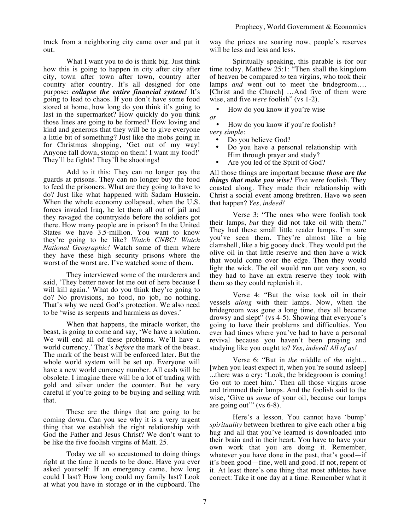truck from a neighboring city came over and put it out.

What I want you to do is think big. Just think how this is going to happen in city after city after city, town after town after town, country after country after country. It's all designed for one purpose: *collapse the entire financial system!* It's going to lead to chaos. If you don't have some food stored at home, how long do you think it's going to last in the supermarket? How quickly do you think those lines are going to be formed? How loving and kind and generous that they will be to give everyone a little bit of something? Just like the mobs going in for Christmas shopping, 'Get out of my way! Anyone fall down, stomp on them! I want my food!' They'll be fights! They'll be shootings!

Add to it this: They can no longer pay the guards at prisons. They can no longer buy the food to feed the prisoners. What are they going to have to do? Just like what happened with Sadam Hussein. When the whole economy collapsed, when the U.S. forces invaded Iraq, he let them all out of jail and they ravaged the countryside before the soldiers got there. How many people are in prison? In the United States we have 3.5-million. You want to know they're going to be like? *Watch CNBC! Watch National Geographic!* Watch some of them where they have these high security prisons where the worst of the worst are. I've watched some of them.

They interviewed some of the murderers and said, 'They better never let me out of here because I will kill again.' What do you think they're going to do? No provisions, no food, no job, no nothing. That's why we need God's protection. We also need to be 'wise as serpents and harmless as doves.'

When that happens, the miracle worker, the beast, is going to come and say, 'We have a solution. We will end all of these problems. We'll have a world currency.' That's *before* the mark of the beast. The mark of the beast will be enforced later. But the whole world system will be set up. Everyone will have a new world currency number. All cash will be obsolete. I imagine there will be a lot of trading with gold and silver under the counter. But be very careful if you're going to be buying and selling with that.

These are the things that are going to be coming down. Can you see why it is a very urgent thing that we establish the right relationship with God the Father and Jesus Christ? We don't want to be like the five foolish virgins of Matt. 25.

Today we all so accustomed to doing things right at the time it needs to be done. Have you ever asked yourself: If an emergency came, how long could I last? How long could my family last? Look at what you have in storage or in the cupboard. The way the prices are soaring now, people's reserves will be less and less and less.

Spiritually speaking, this parable is for our time today, Matthew 25:1: "Then shall the kingdom of heaven be compared *to* ten virgins, who took their lamps *and* went out to meet the bridegroom…. [Christ and the Church] …And five of them were wise, and five *were* foolish" (vs 1-2).

• How do you know if you're wise *or*

• How do you know if you're foolish? *very simple*:

- Do you believe God?
- Do you have a personal relationship with Him through prayer and study?
- Are you led of the Spirit of God?

All those things are important because *those are the things that make you wise!* Five were foolish. They coasted along. They made their relationship with Christ a social event among brethren. Have we seen that happen? *Yes, indeed!*

Verse 3: "The ones who were foolish took their lamps, *but* they did not take oil with them." They had these small little reader lamps. I'm sure you've seen them. They're almost like a big clamshell, like a big gooey duck. They would put the olive oil in that little reserve and then have a wick that would come over the edge. Then they would light the wick. The oil would run out very soon, so they had to have an extra reserve they took with them so they could replenish it.

Verse 4: "But the wise took oil in their vessels *along* with their lamps. Now, when the bridegroom was gone a long time, they all became drowsy and slept" (vs 4-5). Showing that everyone's going to have their problems and difficulties. You ever had times where you've had to have a personal revival because you haven't been praying and studying like you ought to? *Yes, indeed! All of us!*

Verse 6: "But in *the* middle of *the* night... [when you least expect it, when you're sound asleep] ...there was a cry: 'Look, the bridegroom is coming! Go out to meet him.' Then all those virgins arose and trimmed their lamps. And the foolish said to the wise, 'Give us *some* of your oil, because our lamps are going out" (vs 6-8).

Here's a lesson. You cannot have 'bump' *spirituality* between brethren to give each other a big hug and all that you've learned is downloaded into their brain and in their heart. You have to have your own work that you are doing it. Remember, whatever you have done in the past, that's good—if it's been good—fine, well and good. If not, repent of it. At least there's one thing that most athletes have correct: Take it one day at a time. Remember what it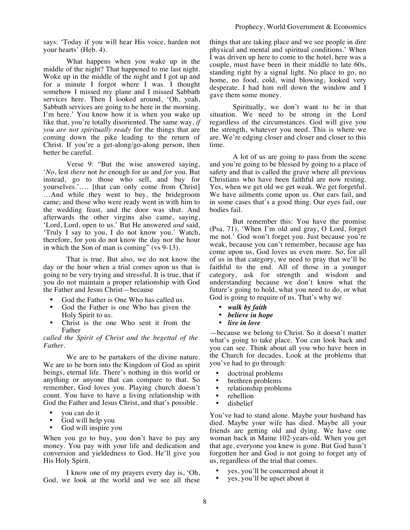says: 'Today if you will hear His voice, harden not your hearts' (Heb. 4).

What happens when you wake up in the middle of the night? That happened to me last night. Woke up in the middle of the night and I got up and for a minute I forgot where I was. I thought somehow I missed my plane and I missed Sabbath services here. Then I looked around, 'Oh, yeah, Sabbath services are going to be here in the morning. I'm here.' You know how it is when you wake up like that, you're totally disoriented. The same way, *if you are not spiritually ready* for the things that are coming down the pike leading to the return of Christ. If you're a get-along/go-along person, then better be careful.

Verse 9: "But the wise answered saying, '*No*, lest *there* not *be* enough for us and *for* you. But instead, go to those who sell, and buy for yourselves.'…. [that can only come from Christ] …And while they went to buy, the bridegroom came; and those who were ready went in with him to the wedding feast, and the door was shut. And afterwards the other virgins also came, saying, 'Lord, Lord, open to us.' But He answered *and* said, 'Truly I say to you, I do not know you.' Watch, therefore, for you do not know the day nor the hour in which the Son of man is coming" (vs 9-13).

That is true. But also, we do not know the day or the hour when a trial comes upon us that is going to be very trying and stressful. It is true, that if you do not maintain a proper relationship with God the Father and Jesus Christ—because

- God the Father is One Who has called us.
- God the Father is one Who has given the Holy Spirit to us.
- Christ is the one Who sent it from the Father

*called the Spirit of Christ and the begettal of the Father.*

We are to be partakers of the divine nature. We are to be born into the Kingdom of God as spirit beings, eternal life. There's nothing in this world or anything or anyone that can compare to that. So remember, God loves you. Playing church doesn't count. You have to have a living relationship with God the Father and Jesus Christ, and that's possible.

- you can do it
- God will help you
- God will inspire you

When you go to buy, you don't have to pay any money. You pay with your life and dedication and conversion and yieldedness to God. He'll give you His Holy Spirit.

I know one of my prayers every day is, 'Oh, God, we look at the world and we see all these things that are taking place and we see people in dire physical and mental and spiritual conditions.' When I was driven up here to come to the hotel, here was a couple, must have been in their middle to late 60s, standing right by a signal light. No place to go, no home, no food, cold, wind blowing, looked very desperate. I had him roll down the window and I gave them some money.

Spiritually, we don't want to be in that situation. We need to be strong in the Lord regardless of the circumstances. God will give you the strength, whatever you need. This is where we are. We're edging closer and closer and closer to this time.

A lot of us are going to pass from the scene and you're going to be blessed by going to a place of safety and that is called the grave where all previous Christians who have been faithful are now resting. Yes, when we get old we get weak. We get forgetful. We have ailments come upon us. Our ears fail, and in some cases that's a good thing. Our eyes fail, our bodies fail.

But remember this: You have the promise (Psa. 71), 'When I'm old and gray, O Lord, forget me not.' God won't forget you. Just because you're weak, because you can't remember, because age has come upon us, God loves us even more. So, for all of us in that category, we need to pray that we'll be faithful to the end. All of those in a younger category, ask for strength and wisdom and understanding because we don't know what the future's going to hold, what you need to do, or what God is going to require of us. That's why we

- *walk by faith*
- *believe in hope*
- *live in love*

—because we belong to Christ. So it doesn't matter what's going to take place. You can look back and you can see. Think about all you who have been in the Church for decades. Look at the problems that you've had to go through:

- doctrinal problems
- brethren problems
- relationship problems
- rebellion<br>• dishelief
- disbelief

You've had to stand alone. Maybe your husband has died. Maybe your wife has died. Maybe all your friends are getting old and dying. We have one woman back in Maine 102-years-old. When you get that age, everyone you knew is gone. But God hasn't forgotten her and God is not going to forget any of us, regardless of the trial that comes.

- yes, you'll be concerned about it
- yes, you'll be upset about it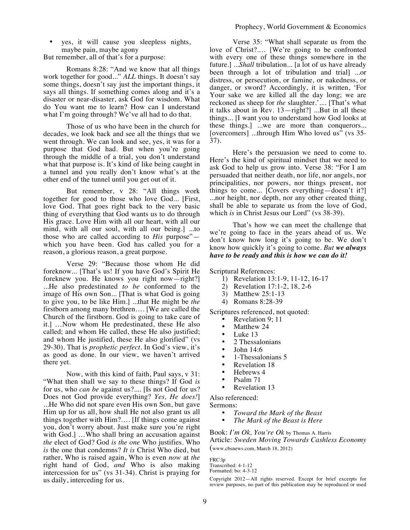• yes, it will cause you sleepless nights, maybe pain, maybe agony

But remember, all of that's for a purpose:

Romans 8:28: "And we know that all things work together for good..." *ALL* things. It doesn't say some things, doesn't say just the important things, it says all things. If something comes along and it's a disaster or near-disaster, ask God for wisdom. What do You want me to learn? How can I understand what I'm going through? We've all had to do that.

Those of us who have been in the church for decades, we look back and see all the things that we went through. We can look and see, yes, it was for a purpose that God had. But when you're going through the middle of a trial, you don't understand what that purpose is. It's kind of like being caught in a tunnel and you really don't know what's at the other end of the tunnel until you get out of it.

But remember, v 28: "All things work together for good to those who love God... [First, love God. That goes right back to the very basic thing of everything that God wants us to do through His grace. Love Him with all our heart, with all our mind, with all our soul, with all our being.] ...to those who are called according to *His* purpose" which you have been. God has called you for a reason, a glorious reason, a great purpose.

Verse 29: "Because those whom He did foreknow... [That's us! If you have God's Spirit He foreknew you. He knows you right now—right?] ...He also predestinated *to be* conformed to the image of His own Son... [That is what God is going to give you, to be like Him.] ...that He might be *the* firstborn among many brethren…. [We are called the Church of the firstborn. God is going to take care of it.] …Now whom He predestinated, these He also called; and whom He called, these He also justified; and whom He justified, these He also glorified" (vs 29-30). That is *prophetic perfect*. In God's view, it's as good as done. In our view, we haven't arrived there yet.

Now, with this kind of faith, Paul says, v 31: "What then shall we say to these things? If God *is*  for us, who *can be* against us?.... [Is not God for us? Does not God provide everything? *Yes, He does!*] ...He Who did not spare even His own Son, but gave Him up for us all, how shall He not also grant us all things together with Him?…. [If things come against you, don't worry about. Just make sure you're right with God.] ...Who shall bring an accusation against *the* elect of God? God *is the one* Who justifies. Who *is* the one that condemns? *It is* Christ Who died, but rather, Who is raised again, Who is even *now* at *the*  right hand of God, *and* Who is also making intercession for us" (vs 31-34). Christ is praying for us daily, interceding for us.

Verse 35: "What shall separate us from the love of Christ?.… [We're going to be confronted with every one of these things somewhere in the future.] ...*Shall* tribulation... [a lot of us have already been through a lot of tribulation and trial] ...or distress, or persecution, or famine, or nakedness, or danger, or sword? Accordingly, it is written, 'For Your sake we are killed all the day long; we are reckoned as sheep for *the* slaughter.'.... [That's what it talks about in  $\text{Rev. } 13 - \text{right?}$  ...But in all these things... [I want you to understand how God looks at these things.] ...we are more than conquerors... [overcomers] ...through Him Who loved us" (vs 35-37).

Here's the persuasion we need to come to. Here's the kind of spiritual mindset that we need to ask God to help us grow into. Verse 38: "For I am persuaded that neither death, nor life, nor angels, nor principalities, nor powers, nor things present, nor things to come... [Covers everything—doesn't it?] ...nor height, nor depth, nor any other created thing, shall be able to separate us from the love of God, which *is* in Christ Jesus our Lord" (vs 38-39).

That's how we can meet the challenge that we're going to face in the years ahead of us. We don't know how long it's going to be. We don't know how quickly it's going to come. *But we always have to be ready and this is how we can do it!*

Scriptural References:

- 1) Revelation 13:1-9, 11-12, 16-17
- 2) Revelation 17:1-2, 18, 2-6
- 3) Matthew 25:1-13
- 4) Romans 8:28-39

Scriptures referenced, not quoted:

- Revelation 9; 11
- Matthew 24
- Luke 13
- 2 Thessalonians
- John 14:6
- 1-Thessalonians 5
- Revelation 18
- Hebrews 4
- Psalm 71
- Revelation 13

Also referenced:

Sermons:

- *Toward the Mark of the Beast*
- *The Mark of the Beast is Here*

Book: *I'm Ok, You're Ok* by Thomas A. Harris

Article: *Sweden Moving Towards Cashless Economy* (www.cbsnews.com, March 18, 2012)

FRC:lp

Copyright 2012—All rights reserved. Except for brief excerpts for review purposes, no part of this publication may be reproduced or used

Transcribed: 4-1-12

Formatted: bo: 4-3-12